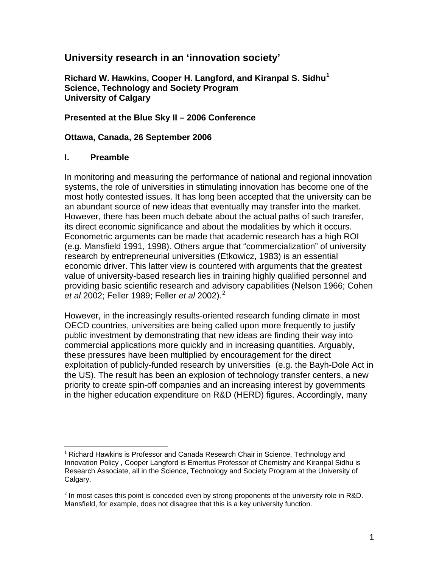# **University research in an 'innovation society'**

**Richard W. Hawkins, Cooper H. Langford, and Kiranpal S. Sidhu[1](#page-0-0) Science, Technology and Society Program University of Calgary** 

## **Presented at the Blue Sky II – 2006 Conference**

## **Ottawa, Canada, 26 September 2006**

## **I. Preamble**

 $\overline{a}$ 

In monitoring and measuring the performance of national and regional innovation systems, the role of universities in stimulating innovation has become one of the most hotly contested issues. It has long been accepted that the university can be an abundant source of new ideas that eventually may transfer into the market. However, there has been much debate about the actual paths of such transfer, its direct economic significance and about the modalities by which it occurs. Econometric arguments can be made that academic research has a high ROI (e.g. Mansfield 1991, 1998). Others argue that "commercialization" of university research by entrepreneurial universities (Etkowicz, 1983) is an essential economic driver. This latter view is countered with arguments that the greatest value of university-based research lies in training highly qualified personnel and providing basic scientific research and advisory capabilities (Nelson 1966; Cohen *et al* 2002; Feller 1989; Feller *et al* 2002).[2](#page-0-1)

However, in the increasingly results-oriented research funding climate in most OECD countries, universities are being called upon more frequently to justify public investment by demonstrating that new ideas are finding their way into commercial applications more quickly and in increasing quantities. Arguably, these pressures have been multiplied by encouragement for the direct exploitation of publicly-funded research by universities (e.g. the Bayh-Dole Act in the US). The result has been an explosion of technology transfer centers, a new priority to create spin-off companies and an increasing interest by governments in the higher education expenditure on R&D (HERD) figures. Accordingly, many

<span id="page-0-0"></span> $<sup>1</sup>$  Richard Hawkins is Professor and Canada Research Chair in Science, Technology and</sup> Innovation Policy , Cooper Langford is Emeritus Professor of Chemistry and Kiranpal Sidhu is Research Associate, all in the Science, Technology and Society Program at the University of Calgary.

<span id="page-0-1"></span> $<sup>2</sup>$  In most cases this point is conceded even by strong proponents of the university role in R&D.</sup> Mansfield, for example, does not disagree that this is a key university function.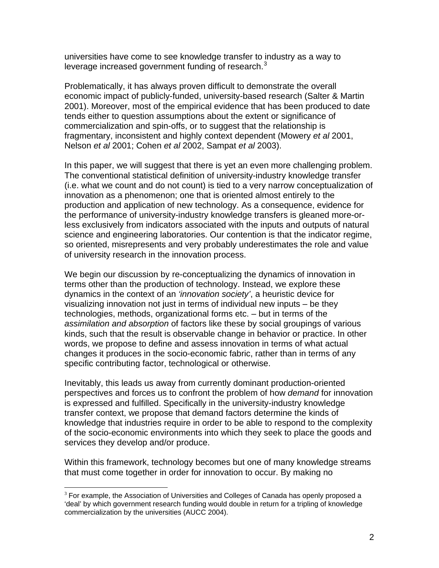universities have come to see knowledge transfer to industry as a way to leverage increased government funding of research. $3$ 

Problematically, it has always proven difficult to demonstrate the overall economic impact of publicly-funded, university-based research (Salter & Martin 2001). Moreover, most of the empirical evidence that has been produced to date tends either to question assumptions about the extent or significance of commercialization and spin-offs, or to suggest that the relationship is fragmentary, inconsistent and highly context dependent (Mowery *et al* 2001, Nelson *et al* 2001; Cohen *et al* 2002, Sampat *et al* 2003).

In this paper, we will suggest that there is yet an even more challenging problem. The conventional statistical definition of university-industry knowledge transfer (i.e. what we count and do not count) is tied to a very narrow conceptualization of innovation as a phenomenon; one that is oriented almost entirely to the production and application of new technology. As a consequence, evidence for the performance of university-industry knowledge transfers is gleaned more-orless exclusively from indicators associated with the inputs and outputs of natural science and engineering laboratories. Our contention is that the indicator regime, so oriented, misrepresents and very probably underestimates the role and value of university research in the innovation process.

We begin our discussion by re-conceptualizing the dynamics of innovation in terms other than the production of technology. Instead, we explore these dynamics in the context of an *'innovation society'*, a heuristic device for visualizing innovation not just in terms of individual new inputs – be they technologies, methods, organizational forms etc. – but in terms of the *assimilation and absorption* of factors like these by social groupings of various kinds, such that the result is observable change in behavior or practice. In other words, we propose to define and assess innovation in terms of what actual changes it produces in the socio-economic fabric, rather than in terms of any specific contributing factor, technological or otherwise.

Inevitably, this leads us away from currently dominant production-oriented perspectives and forces us to confront the problem of how *demand* for innovation is expressed and fulfilled. Specifically in the university-industry knowledge transfer context, we propose that demand factors determine the kinds of knowledge that industries require in order to be able to respond to the complexity of the socio-economic environments into which they seek to place the goods and services they develop and/or produce.

Within this framework, technology becomes but one of many knowledge streams that must come together in order for innovation to occur. By making no

<span id="page-1-0"></span> $\overline{a}$  $3$  For example, the Association of Universities and Colleges of Canada has openly proposed a 'deal' by which government research funding would double in return for a tripling of knowledge commercialization by the universities (AUCC 2004).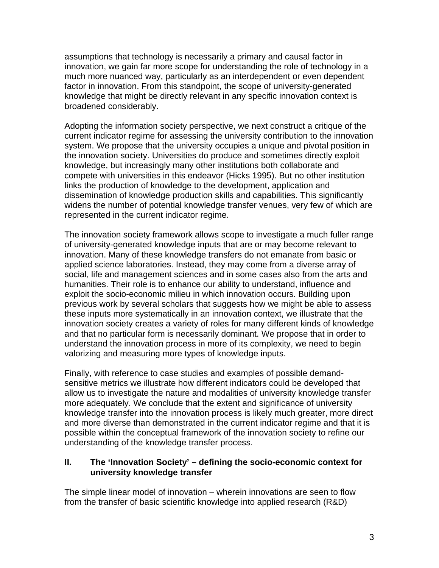assumptions that technology is necessarily a primary and causal factor in innovation, we gain far more scope for understanding the role of technology in a much more nuanced way, particularly as an interdependent or even dependent factor in innovation. From this standpoint, the scope of university-generated knowledge that might be directly relevant in any specific innovation context is broadened considerably.

Adopting the information society perspective, we next construct a critique of the current indicator regime for assessing the university contribution to the innovation system. We propose that the university occupies a unique and pivotal position in the innovation society. Universities do produce and sometimes directly exploit knowledge, but increasingly many other institutions both collaborate and compete with universities in this endeavor (Hicks 1995). But no other institution links the production of knowledge to the development, application and dissemination of knowledge production skills and capabilities. This significantly widens the number of potential knowledge transfer venues, very few of which are represented in the current indicator regime.

The innovation society framework allows scope to investigate a much fuller range of university-generated knowledge inputs that are or may become relevant to innovation. Many of these knowledge transfers do not emanate from basic or applied science laboratories. Instead, they may come from a diverse array of social, life and management sciences and in some cases also from the arts and humanities. Their role is to enhance our ability to understand, influence and exploit the socio-economic milieu in which innovation occurs. Building upon previous work by several scholars that suggests how we might be able to assess these inputs more systematically in an innovation context, we illustrate that the innovation society creates a variety of roles for many different kinds of knowledge and that no particular form is necessarily dominant. We propose that in order to understand the innovation process in more of its complexity, we need to begin valorizing and measuring more types of knowledge inputs.

Finally, with reference to case studies and examples of possible demandsensitive metrics we illustrate how different indicators could be developed that allow us to investigate the nature and modalities of university knowledge transfer more adequately. We conclude that the extent and significance of university knowledge transfer into the innovation process is likely much greater, more direct and more diverse than demonstrated in the current indicator regime and that it is possible within the conceptual framework of the innovation society to refine our understanding of the knowledge transfer process.

#### **II. The 'Innovation Society' – defining the socio-economic context for university knowledge transfer**

The simple linear model of innovation – wherein innovations are seen to flow from the transfer of basic scientific knowledge into applied research (R&D)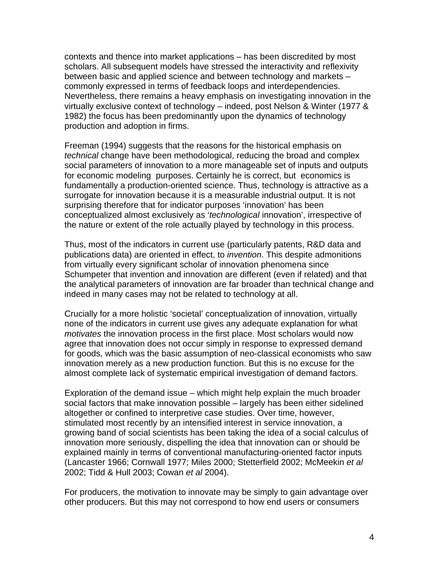contexts and thence into market applications – has been discredited by most scholars. All subsequent models have stressed the interactivity and reflexivity between basic and applied science and between technology and markets – commonly expressed in terms of feedback loops and interdependencies. Nevertheless, there remains a heavy emphasis on investigating innovation in the virtually exclusive context of technology – indeed, post Nelson & Winter (1977 & 1982) the focus has been predominantly upon the dynamics of technology production and adoption in firms.

Freeman (1994) suggests that the reasons for the historical emphasis on *technical* change have been methodological, reducing the broad and complex social parameters of innovation to a more manageable set of inputs and outputs for economic modeling purposes. Certainly he is correct, but economics is fundamentally a production-oriented science. Thus, technology is attractive as a surrogate for innovation because it is a measurable industrial output. It is not surprising therefore that for indicator purposes 'innovation' has been conceptualized almost exclusively as '*technological* innovation', irrespective of the nature or extent of the role actually played by technology in this process.

Thus, most of the indicators in current use (particularly patents, R&D data and publications data) are oriented in effect, to *invention*. This despite admonitions from virtually every significant scholar of innovation phenomena since Schumpeter that invention and innovation are different (even if related) and that the analytical parameters of innovation are far broader than technical change and indeed in many cases may not be related to technology at all.

Crucially for a more holistic 'societal' conceptualization of innovation, virtually none of the indicators in current use gives any adequate explanation for what *motivates* the innovation process in the first place. Most scholars would now agree that innovation does not occur simply in response to expressed demand for goods, which was the basic assumption of neo-classical economists who saw innovation merely as a new production function. But this is no excuse for the almost complete lack of systematic empirical investigation of demand factors.

Exploration of the demand issue – which might help explain the much broader social factors that make innovation possible – largely has been either sidelined altogether or confined to interpretive case studies. Over time, however, stimulated most recently by an intensified interest in service innovation, a growing band of social scientists has been taking the idea of a social calculus of innovation more seriously, dispelling the idea that innovation can or should be explained mainly in terms of conventional manufacturing-oriented factor inputs (Lancaster 1966; Cornwall 1977; Miles 2000; Stetterfield 2002; McMeekin *et al* 2002; Tidd & Hull 2003; Cowan *et al* 2004).

For producers, the motivation to innovate may be simply to gain advantage over other producers. But this may not correspond to how end users or consumers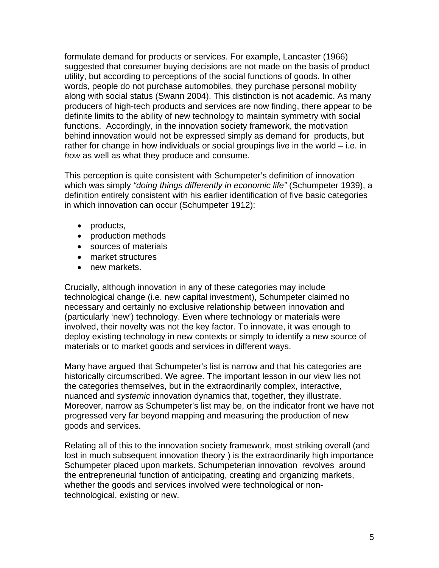formulate demand for products or services. For example, Lancaster (1966) suggested that consumer buying decisions are not made on the basis of product utility, but according to perceptions of the social functions of goods. In other words, people do not purchase automobiles, they purchase personal mobility along with social status (Swann 2004). This distinction is not academic. As many producers of high-tech products and services are now finding, there appear to be definite limits to the ability of new technology to maintain symmetry with social functions. Accordingly, in the innovation society framework, the motivation behind innovation would not be expressed simply as demand for products, but rather for change in how individuals or social groupings live in the world – i.e. in *how* as well as what they produce and consume.

This perception is quite consistent with Schumpeter's definition of innovation which was simply *"doing things differently in economic life"* (Schumpeter 1939), a definition entirely consistent with his earlier identification of five basic categories in which innovation can occur (Schumpeter 1912):

- products,
- production methods
- sources of materials
- market structures
- new markets.

Crucially, although innovation in any of these categories may include technological change (i.e. new capital investment), Schumpeter claimed no necessary and certainly no exclusive relationship between innovation and (particularly 'new') technology. Even where technology or materials were involved, their novelty was not the key factor. To innovate, it was enough to deploy existing technology in new contexts or simply to identify a new source of materials or to market goods and services in different ways.

Many have argued that Schumpeter's list is narrow and that his categories are historically circumscribed. We agree. The important lesson in our view lies not the categories themselves, but in the extraordinarily complex, interactive, nuanced and *systemic* innovation dynamics that, together, they illustrate. Moreover, narrow as Schumpeter's list may be, on the indicator front we have not progressed very far beyond mapping and measuring the production of new goods and services.

Relating all of this to the innovation society framework, most striking overall (and lost in much subsequent innovation theory ) is the extraordinarily high importance Schumpeter placed upon markets. Schumpeterian innovation revolves around the entrepreneurial function of anticipating, creating and organizing markets, whether the goods and services involved were technological or nontechnological, existing or new.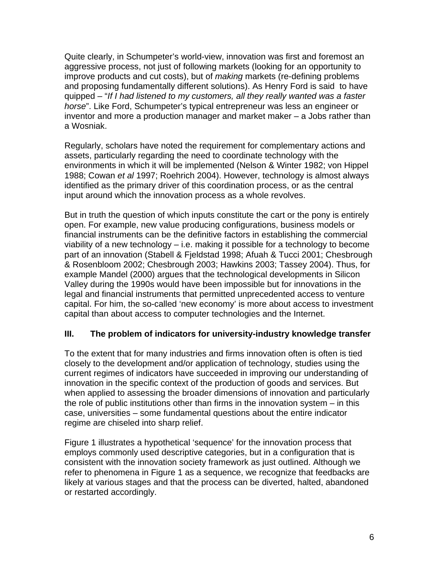Quite clearly, in Schumpeter's world-view, innovation was first and foremost an aggressive process, not just of following markets (looking for an opportunity to improve products and cut costs), but of *making* markets (re-defining problems and proposing fundamentally different solutions). As Henry Ford is said to have quipped – "*If I had listened to my customers, all they really wanted was a faster horse*". Like Ford, Schumpeter's typical entrepreneur was less an engineer or inventor and more a production manager and market maker – a Jobs rather than a Wosniak.

Regularly, scholars have noted the requirement for complementary actions and assets, particularly regarding the need to coordinate technology with the environments in which it will be implemented (Nelson & Winter 1982; von Hippel 1988; Cowan *et al* 1997; Roehrich 2004). However, technology is almost always identified as the primary driver of this coordination process, or as the central input around which the innovation process as a whole revolves.

But in truth the question of which inputs constitute the cart or the pony is entirely open. For example, new value producing configurations, business models or financial instruments can be the definitive factors in establishing the commercial viability of a new technology – i.e. making it possible for a technology to become part of an innovation (Stabell & Fjeldstad 1998; Afuah & Tucci 2001; Chesbrough & Rosenbloom 2002; Chesbrough 2003; Hawkins 2003; Tassey 2004). Thus, for example Mandel (2000) argues that the technological developments in Silicon Valley during the 1990s would have been impossible but for innovations in the legal and financial instruments that permitted unprecedented access to venture capital. For him, the so-called 'new economy' is more about access to investment capital than about access to computer technologies and the Internet.

# **III. The problem of indicators for university-industry knowledge transfer**

To the extent that for many industries and firms innovation often is often is tied closely to the development and/or application of technology, studies using the current regimes of indicators have succeeded in improving our understanding of innovation in the specific context of the production of goods and services. But when applied to assessing the broader dimensions of innovation and particularly the role of public institutions other than firms in the innovation system – in this case, universities – some fundamental questions about the entire indicator regime are chiseled into sharp relief.

Figure 1 illustrates a hypothetical 'sequence' for the innovation process that employs commonly used descriptive categories, but in a configuration that is consistent with the innovation society framework as just outlined. Although we refer to phenomena in Figure 1 as a sequence, we recognize that feedbacks are likely at various stages and that the process can be diverted, halted, abandoned or restarted accordingly.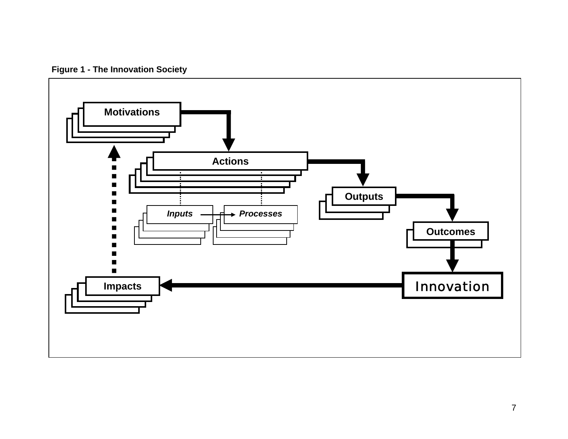**Figure 1 - The Innovation Society** 

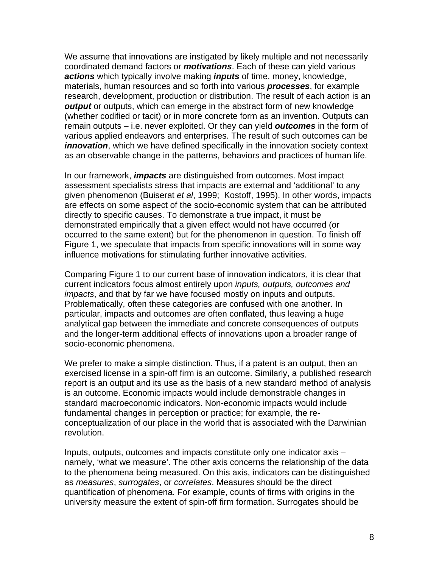We assume that innovations are instigated by likely multiple and not necessarily coordinated demand factors or *motivations*. Each of these can yield various *actions* which typically involve making *inputs* of time, money, knowledge, materials, human resources and so forth into various *processes*, for example research, development, production or distribution. The result of each action is an *output* or outputs, which can emerge in the abstract form of new knowledge (whether codified or tacit) or in more concrete form as an invention. Outputs can remain outputs – i.e. never exploited. Or they can yield *outcomes* in the form of various applied endeavors and enterprises. The result of such outcomes can be *innovation*, which we have defined specifically in the innovation society context as an observable change in the patterns, behaviors and practices of human life.

In our framework, *impacts* are distinguished from outcomes. Most impact assessment specialists stress that impacts are external and 'additional' to any given phenomenon (Buiserat *et al*, 1999; Kostoff, 1995). In other words, impacts are effects on some aspect of the socio-economic system that can be attributed directly to specific causes. To demonstrate a true impact, it must be demonstrated empirically that a given effect would not have occurred (or occurred to the same extent) but for the phenomenon in question. To finish off Figure 1, we speculate that impacts from specific innovations will in some way influence motivations for stimulating further innovative activities.

Comparing Figure 1 to our current base of innovation indicators, it is clear that current indicators focus almost entirely upon *inputs, outputs, outcomes and impacts*, and that by far we have focused mostly on inputs and outputs. Problematically, often these categories are confused with one another. In particular, impacts and outcomes are often conflated, thus leaving a huge analytical gap between the immediate and concrete consequences of outputs and the longer-term additional effects of innovations upon a broader range of socio-economic phenomena.

We prefer to make a simple distinction. Thus, if a patent is an output, then an exercised license in a spin-off firm is an outcome. Similarly, a published research report is an output and its use as the basis of a new standard method of analysis is an outcome. Economic impacts would include demonstrable changes in standard macroeconomic indicators. Non-economic impacts would include fundamental changes in perception or practice; for example, the reconceptualization of our place in the world that is associated with the Darwinian revolution.

Inputs, outputs, outcomes and impacts constitute only one indicator axis – namely, 'what we measure'. The other axis concerns the relationship of the data to the phenomena being measured. On this axis, indicators can be distinguished as *measures*, *surrogates*, or *correlates*. Measures should be the direct quantification of phenomena. For example, counts of firms with origins in the university measure the extent of spin-off firm formation. Surrogates should be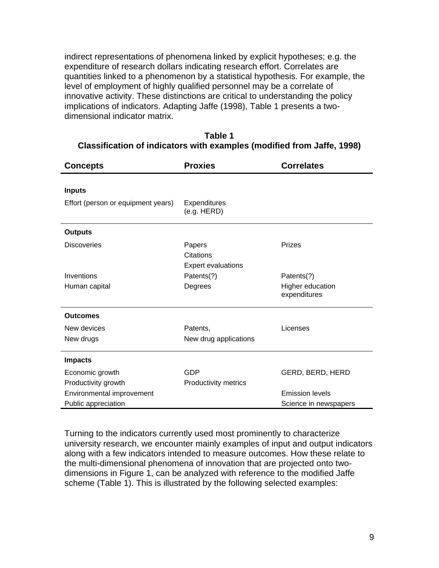indirect representations of phenomena linked by explicit hypotheses; e.g. the expenditure of research dollars indicating research effort. Correlates are quantities linked to a phenomenon by a statistical hypothesis. For example, the level of employment of highly qualified personnel may be a correlate of innovative activity. These distinctions are critical to understanding the policy implications of indicators. Adapting Jaffe (1998), Table 1 presents a twodimensional indicator matrix.

| <b>Concepts</b>                    | <b>Proxies</b>                                   | <b>Correlates</b>                |
|------------------------------------|--------------------------------------------------|----------------------------------|
| <b>Inputs</b>                      |                                                  |                                  |
| Effort (person or equipment years) | Expenditures<br>(e.g. HERD)                      |                                  |
| <b>Outputs</b>                     |                                                  |                                  |
| <b>Discoveries</b>                 | Papers<br>Citations<br><b>Expert evaluations</b> | Prizes                           |
| Inventions                         | Patents(?)                                       | Patents(?)                       |
| Human capital                      | Degrees                                          | Higher education<br>expenditures |
| <b>Outcomes</b>                    |                                                  |                                  |
| New devices                        | Patents,                                         | Licenses                         |
| New drugs                          | New drug applications                            |                                  |
| <b>Impacts</b>                     |                                                  |                                  |
| Economic growth                    | <b>GDP</b>                                       | GERD, BERD, HERD                 |
| Productivity growth                | Productivity metrics                             |                                  |
| Environmental improvement          |                                                  | <b>Emission levels</b>           |
| Public appreciation                |                                                  | Science in newspapers            |

| Table 1                                                                |  |
|------------------------------------------------------------------------|--|
| Classification of indicators with examples (modified from Jaffe, 1998) |  |

Turning to the indicators currently used most prominently to characterize university research, we encounter mainly examples of input and output indicators along with a few indicators intended to measure outcomes. How these relate to the multi-dimensional phenomena of innovation that are projected onto twodimensions in Figure 1, can be analyzed with reference to the modified Jaffe scheme (Table 1). This is illustrated by the following selected examples: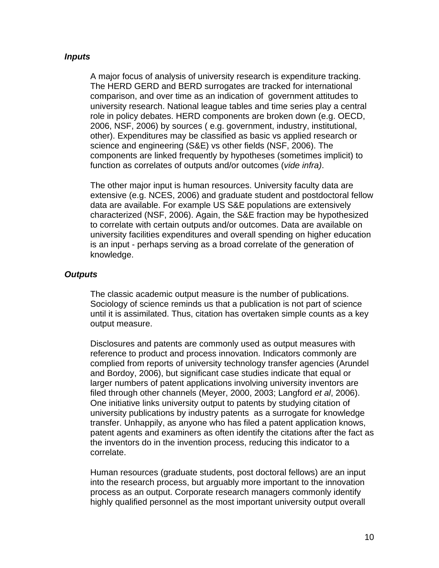#### *Inputs*

A major focus of analysis of university research is expenditure tracking. The HERD GERD and BERD surrogates are tracked for international comparison, and over time as an indication of government attitudes to university research. National league tables and time series play a central role in policy debates. HERD components are broken down (e.g. OECD, 2006, NSF, 2006) by sources ( e.g. government, industry, institutional, other). Expenditures may be classified as basic vs applied research or science and engineering (S&E) vs other fields (NSF, 2006). The components are linked frequently by hypotheses (sometimes implicit) to function as correlates of outputs and/or outcomes (*vide infra)*.

The other major input is human resources. University faculty data are extensive (e.g. NCES, 2006) and graduate student and postdoctoral fellow data are available. For example US S&E populations are extensively characterized (NSF, 2006). Again, the S&E fraction may be hypothesized to correlate with certain outputs and/or outcomes. Data are available on university facilities expenditures and overall spending on higher education is an input - perhaps serving as a broad correlate of the generation of knowledge.

#### *Outputs*

The classic academic output measure is the number of publications. Sociology of science reminds us that a publication is not part of science until it is assimilated. Thus, citation has overtaken simple counts as a key output measure.

Disclosures and patents are commonly used as output measures with reference to product and process innovation. Indicators commonly are complied from reports of university technology transfer agencies (Arundel and Bordoy, 2006), but significant case studies indicate that equal or larger numbers of patent applications involving university inventors are filed through other channels (Meyer, 2000, 2003; Langford *et al*, 2006). One initiative links university output to patents by studying citation of university publications by industry patents as a surrogate for knowledge transfer. Unhappily, as anyone who has filed a patent application knows, patent agents and examiners as often identify the citations after the fact as the inventors do in the invention process, reducing this indicator to a correlate.

Human resources (graduate students, post doctoral fellows) are an input into the research process, but arguably more important to the innovation process as an output. Corporate research managers commonly identify highly qualified personnel as the most important university output overall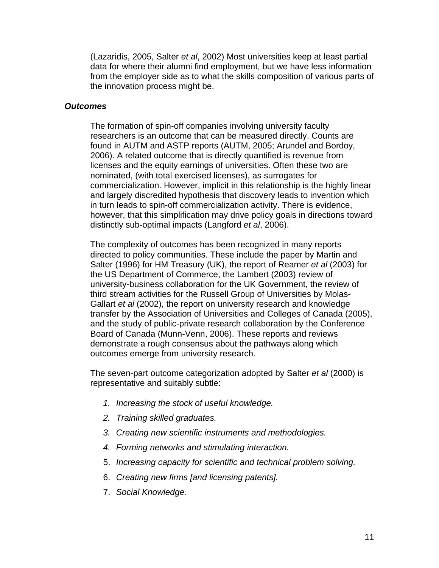(Lazaridis, 2005, Salter *et al*, 2002) Most universities keep at least partial data for where their alumni find employment, but we have less information from the employer side as to what the skills composition of various parts of the innovation process might be.

#### *Outcomes*

The formation of spin-off companies involving university faculty researchers is an outcome that can be measured directly. Counts are found in AUTM and ASTP reports (AUTM, 2005; Arundel and Bordoy, 2006). A related outcome that is directly quantified is revenue from licenses and the equity earnings of universities. Often these two are nominated, (with total exercised licenses), as surrogates for commercialization. However, implicit in this relationship is the highly linear and largely discredited hypothesis that discovery leads to invention which in turn leads to spin-off commercialization activity. There is evidence, however, that this simplification may drive policy goals in directions toward distinctly sub-optimal impacts (Langford *et al*, 2006).

The complexity of outcomes has been recognized in many reports directed to policy communities. These include the paper by Martin and Salter (1996) for HM Treasury (UK), the report of Reamer *et al* (2003) for the US Department of Commerce, the Lambert (2003) review of university-business collaboration for the UK Government, the review of third stream activities for the Russell Group of Universities by Molas-Gallart *et al* (2002), the report on university research and knowledge transfer by the Association of Universities and Colleges of Canada (2005), and the study of public-private research collaboration by the Conference Board of Canada (Munn-Venn, 2006). These reports and reviews demonstrate a rough consensus about the pathways along which outcomes emerge from university research.

The seven-part outcome categorization adopted by Salter *et al* (2000) is representative and suitably subtle:

- *1. Increasing the stock of useful knowledge.*
- *2. Training skilled graduates.*
- *3. Creating new scientific instruments and methodologies.*
- *4. Forming networks and stimulating interaction.*
- 5. *Increasing capacity for scientific and technical problem solving.*
- 6. *Creating new firms [and licensing patents].*
- 7. *Social Knowledge.*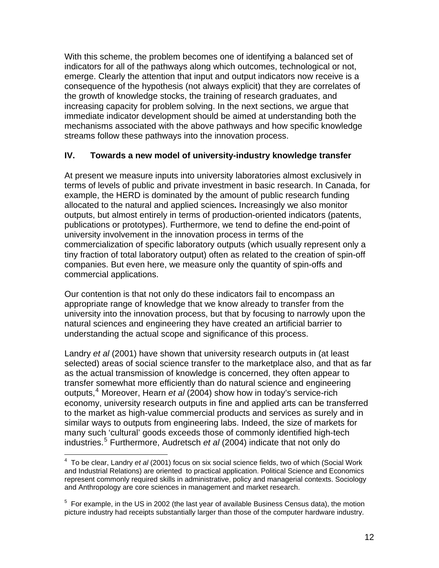<span id="page-11-0"></span>With this scheme, the problem becomes one of identifying a balanced set of indicators for all of the pathways along which outcomes, technological or not, emerge. Clearly the attention that input and output indicators now receive is a consequence of the hypothesis (not always explicit) that they are correlates of the growth of knowledge stocks, the training of research graduates, and increasing capacity for problem solving. In the next sections, we argue that immediate indicator development should be aimed at understanding both the mechanisms associated with the above pathways and how specific knowledge streams follow these pathways into the innovation process.

# **IV. Towards a new model of university-industry knowledge transfer**

At present we measure inputs into university laboratories almost exclusively in terms of levels of public and private investment in basic research. In Canada, for example, the HERD is dominated by the amount of public research funding allocated to the natural and applied sciences**.** Increasingly we also monitor outputs, but almost entirely in terms of production-oriented indicators (patents, publications or prototypes). Furthermore, we tend to define the end-point of university involvement in the innovation process in terms of the commercialization of specific laboratory outputs (which usually represent only a tiny fraction of total laboratory output) often as related to the creation of spin-off companies. But even here, we measure only the quantity of spin-offs and commercial applications.

Our contention is that not only do these indicators fail to encompass an appropriate range of knowledge that we know already to transfer from the university into the innovation process, but that by focusing to narrowly upon the natural sciences and engineering they have created an artificial barrier to understanding the actual scope and significance of this process.

Landry *et al* (2001) have shown that university research outputs in (at least selected) areas of social science transfer to the marketplace also, and that as far as the actual transmission of knowledge is concerned, they often appear to transfer somewhat more efficiently than do natural science and engineering outputs,<sup>[4](#page-11-0)</sup> Moreover, Hearn *et al* (2004) show how in today's service-rich economy, university research outputs in fine and applied arts can be transferred to the market as high-value commercial products and services as surely and in similar ways to outputs from engineering labs. Indeed, the size of markets for many such 'cultural' goods exceeds those of commonly identified high-tech industries.[5](#page-11-0) Furthermore, Audretsch *et al* (2004) indicate that not only do

 4 To be clear, Landry *et al* (2001) focus on six social science fields, two of which (Social Work and Industrial Relations) are oriented to practical application. Political Science and Economics represent commonly required skills in administrative, policy and managerial contexts. Sociology and Anthropology are core sciences in management and market research.

 $5$  For example, in the US in 2002 (the last year of available Business Census data), the motion picture industry had receipts substantially larger than those of the computer hardware industry.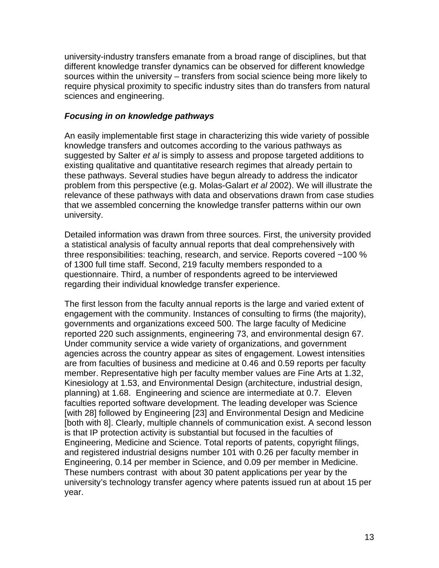university-industry transfers emanate from a broad range of disciplines, but that different knowledge transfer dynamics can be observed for different knowledge sources within the university – transfers from social science being more likely to require physical proximity to specific industry sites than do transfers from natural sciences and engineering.

## *Focusing in on knowledge pathways*

An easily implementable first stage in characterizing this wide variety of possible knowledge transfers and outcomes according to the various pathways as suggested by Salter *et al* is simply to assess and propose targeted additions to existing qualitative and quantitative research regimes that already pertain to these pathways. Several studies have begun already to address the indicator problem from this perspective (e.g. Molas-Galart *et al* 2002). We will illustrate the relevance of these pathways with data and observations drawn from case studies that we assembled concerning the knowledge transfer patterns within our own university.

Detailed information was drawn from three sources. First, the university provided a statistical analysis of faculty annual reports that deal comprehensively with three responsibilities: teaching, research, and service. Reports covered ~100 % of 1300 full time staff. Second, 219 faculty members responded to a questionnaire. Third, a number of respondents agreed to be interviewed regarding their individual knowledge transfer experience.

The first lesson from the faculty annual reports is the large and varied extent of engagement with the community. Instances of consulting to firms (the majority), governments and organizations exceed 500. The large faculty of Medicine reported 220 such assignments, engineering 73, and environmental design 67. Under community service a wide variety of organizations, and government agencies across the country appear as sites of engagement. Lowest intensities are from faculties of business and medicine at 0.46 and 0.59 reports per faculty member. Representative high per faculty member values are Fine Arts at 1.32, Kinesiology at 1.53, and Environmental Design (architecture, industrial design, planning) at 1.68. Engineering and science are intermediate at 0.7. Eleven faculties reported software development. The leading developer was Science [with 28] followed by Engineering [23] and Environmental Design and Medicine [both with 8]. Clearly, multiple channels of communication exist. A second lesson is that IP protection activity is substantial but focused in the faculties of Engineering, Medicine and Science. Total reports of patents, copyright filings, and registered industrial designs number 101 with 0.26 per faculty member in Engineering, 0.14 per member in Science, and 0.09 per member in Medicine. These numbers contrast with about 30 patent applications per year by the university's technology transfer agency where patents issued run at about 15 per year.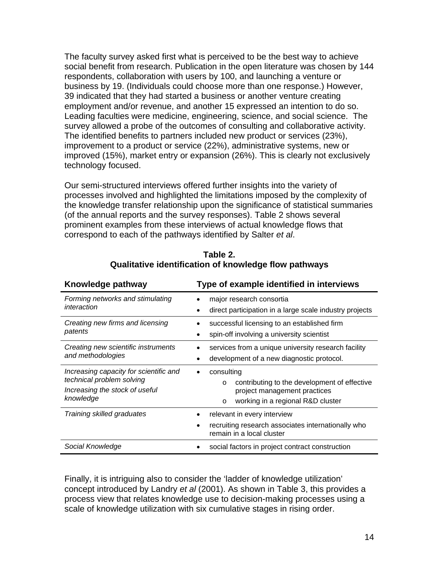The faculty survey asked first what is perceived to be the best way to achieve social benefit from research. Publication in the open literature was chosen by 144 respondents, collaboration with users by 100, and launching a venture or business by 19. (Individuals could choose more than one response.) However, 39 indicated that they had started a business or another venture creating employment and/or revenue, and another 15 expressed an intention to do so. Leading faculties were medicine, engineering, science, and social science. The survey allowed a probe of the outcomes of consulting and collaborative activity. The identified benefits to partners included new product or services (23%), improvement to a product or service (22%), administrative systems, new or improved (15%), market entry or expansion (26%). This is clearly not exclusively technology focused.

Our semi-structured interviews offered further insights into the variety of processes involved and highlighted the limitations imposed by the complexity of the knowledge transfer relationship upon the significance of statistical summaries (of the annual reports and the survey responses). Table 2 shows several prominent examples from these interviews of actual knowledge flows that correspond to each of the pathways identified by Salter *et al*.

| Knowledge pathway                                                                                                  | Type of example identified in interviews                                                                                                              |
|--------------------------------------------------------------------------------------------------------------------|-------------------------------------------------------------------------------------------------------------------------------------------------------|
| Forming networks and stimulating<br>interaction                                                                    | major research consortia<br>direct participation in a large scale industry projects                                                                   |
| Creating new firms and licensing<br>patents                                                                        | successful licensing to an established firm<br>spin-off involving a university scientist<br>$\bullet$                                                 |
| Creating new scientific instruments<br>and methodologies                                                           | services from a unique university research facility<br>development of a new diagnostic protocol.                                                      |
| Increasing capacity for scientific and<br>technical problem solving<br>Increasing the stock of useful<br>knowledge | consulting<br>contributing to the development of effective<br>$\circ$<br>project management practices<br>working in a regional R&D cluster<br>$\circ$ |
| Training skilled graduates                                                                                         | relevant in every interview<br>recruiting research associates internationally who<br>$\bullet$<br>remain in a local cluster                           |
| Social Knowledge                                                                                                   | social factors in project contract construction                                                                                                       |

**Table 2. Qualitative identification of knowledge flow pathways**

Finally, it is intriguing also to consider the 'ladder of knowledge utilization' concept introduced by Landry *et al* (2001). As shown in Table 3, this provides a process view that relates knowledge use to decision-making processes using a scale of knowledge utilization with six cumulative stages in rising order.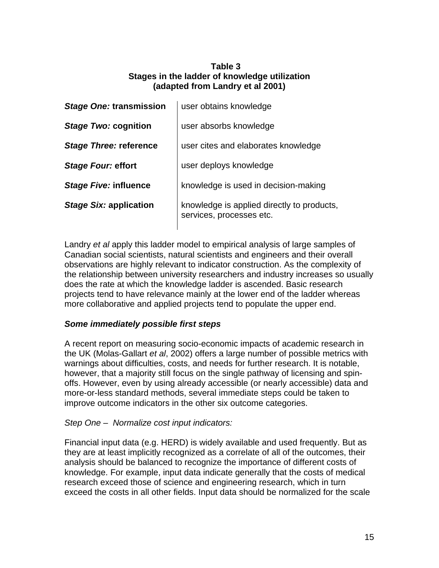## **Table 3 Stages in the ladder of knowledge utilization (adapted from Landry et al 2001)**

| Stage One: transmission       | user obtains knowledge                                                 |
|-------------------------------|------------------------------------------------------------------------|
| Stage Two: cognition          | user absorbs knowledge                                                 |
| <b>Stage Three: reference</b> | user cites and elaborates knowledge                                    |
| Stage Four: effort            | user deploys knowledge                                                 |
| Stage Five: influence         | knowledge is used in decision-making                                   |
| <b>Stage Six: application</b> | knowledge is applied directly to products,<br>services, processes etc. |

Landry *et al* apply this ladder model to empirical analysis of large samples of Canadian social scientists, natural scientists and engineers and their overall observations are highly relevant to indicator construction. As the complexity of the relationship between university researchers and industry increases so usually does the rate at which the knowledge ladder is ascended. Basic research projects tend to have relevance mainly at the lower end of the ladder whereas more collaborative and applied projects tend to populate the upper end.

# *Some immediately possible first steps*

A recent report on measuring socio-economic impacts of academic research in the UK (Molas-Gallart *et al*, 2002) offers a large number of possible metrics with warnings about difficulties, costs, and needs for further research. It is notable, however, that a majority still focus on the single pathway of licensing and spinoffs. However, even by using already accessible (or nearly accessible) data and more-or-less standard methods, several immediate steps could be taken to improve outcome indicators in the other six outcome categories.

# *Step One – Normalize cost input indicators:*

Financial input data (e.g. HERD) is widely available and used frequently. But as they are at least implicitly recognized as a correlate of all of the outcomes, their analysis should be balanced to recognize the importance of different costs of knowledge. For example, input data indicate generally that the costs of medical research exceed those of science and engineering research, which in turn exceed the costs in all other fields. Input data should be normalized for the scale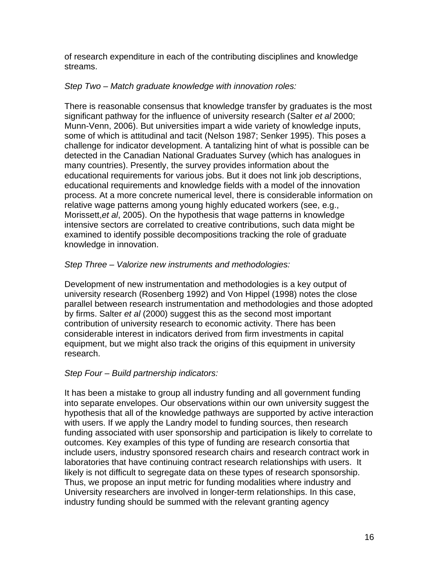of research expenditure in each of the contributing disciplines and knowledge streams.

## *Step Two – Match graduate knowledge with innovation roles:*

There is reasonable consensus that knowledge transfer by graduates is the most significant pathway for the influence of university research (Salter *et al* 2000; Munn-Venn, 2006). But universities impart a wide variety of knowledge inputs, some of which is attitudinal and tacit (Nelson 1987; Senker 1995). This poses a challenge for indicator development. A tantalizing hint of what is possible can be detected in the Canadian National Graduates Survey (which has analogues in many countries). Presently, the survey provides information about the educational requirements for various jobs. But it does not link job descriptions, educational requirements and knowledge fields with a model of the innovation process. At a more concrete numerical level, there is considerable information on relative wage patterns among young highly educated workers (see, e.g., Morissett,*et al*, 2005). On the hypothesis that wage patterns in knowledge intensive sectors are correlated to creative contributions, such data might be examined to identify possible decompositions tracking the role of graduate knowledge in innovation.

# *Step Three – Valorize new instruments and methodologies:*

Development of new instrumentation and methodologies is a key output of university research (Rosenberg 1992) and Von Hippel (1998) notes the close parallel between research instrumentation and methodologies and those adopted by firms. Salter *et al* (2000) suggest this as the second most important contribution of university research to economic activity. There has been considerable interest in indicators derived from firm investments in capital equipment, but we might also track the origins of this equipment in university research.

# *Step Four – Build partnership indicators:*

It has been a mistake to group all industry funding and all government funding into separate envelopes. Our observations within our own university suggest the hypothesis that all of the knowledge pathways are supported by active interaction with users. If we apply the Landry model to funding sources, then research funding associated with user sponsorship and participation is likely to correlate to outcomes. Key examples of this type of funding are research consortia that include users, industry sponsored research chairs and research contract work in laboratories that have continuing contract research relationships with users. It likely is not difficult to segregate data on these types of research sponsorship. Thus, we propose an input metric for funding modalities where industry and University researchers are involved in longer-term relationships. In this case, industry funding should be summed with the relevant granting agency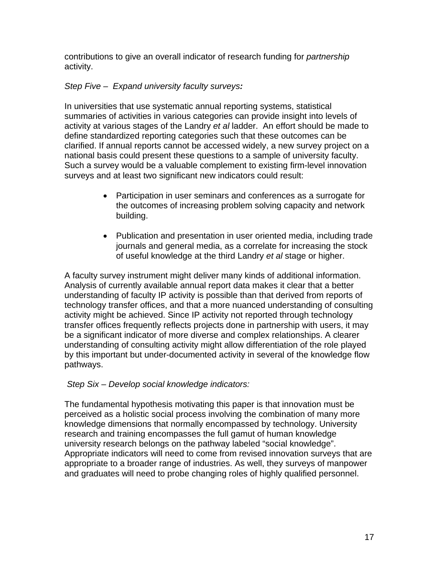contributions to give an overall indicator of research funding for *partnership* activity.

# *Step Five – Expand university faculty surveys:*

In universities that use systematic annual reporting systems, statistical summaries of activities in various categories can provide insight into levels of activity at various stages of the Landry *et al* ladder. An effort should be made to define standardized reporting categories such that these outcomes can be clarified. If annual reports cannot be accessed widely, a new survey project on a national basis could present these questions to a sample of university faculty. Such a survey would be a valuable complement to existing firm-level innovation surveys and at least two significant new indicators could result:

- Participation in user seminars and conferences as a surrogate for the outcomes of increasing problem solving capacity and network building.
- Publication and presentation in user oriented media, including trade journals and general media, as a correlate for increasing the stock of useful knowledge at the third Landry *et al* stage or higher.

A faculty survey instrument might deliver many kinds of additional information. Analysis of currently available annual report data makes it clear that a better understanding of faculty IP activity is possible than that derived from reports of technology transfer offices, and that a more nuanced understanding of consulting activity might be achieved. Since IP activity not reported through technology transfer offices frequently reflects projects done in partnership with users, it may be a significant indicator of more diverse and complex relationships. A clearer understanding of consulting activity might allow differentiation of the role played by this important but under-documented activity in several of the knowledge flow pathways.

# *Step Six – Develop social knowledge indicators:*

The fundamental hypothesis motivating this paper is that innovation must be perceived as a holistic social process involving the combination of many more knowledge dimensions that normally encompassed by technology. University research and training encompasses the full gamut of human knowledge university research belongs on the pathway labeled "social knowledge". Appropriate indicators will need to come from revised innovation surveys that are appropriate to a broader range of industries. As well, they surveys of manpower and graduates will need to probe changing roles of highly qualified personnel.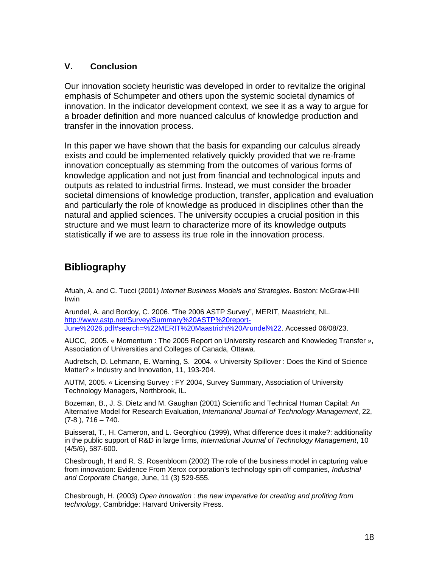#### **V. Conclusion**

Our innovation society heuristic was developed in order to revitalize the original emphasis of Schumpeter and others upon the systemic societal dynamics of innovation. In the indicator development context, we see it as a way to argue for a broader definition and more nuanced calculus of knowledge production and transfer in the innovation process.

In this paper we have shown that the basis for expanding our calculus already exists and could be implemented relatively quickly provided that we re-frame innovation conceptually as stemming from the outcomes of various forms of knowledge application and not just from financial and technological inputs and outputs as related to industrial firms. Instead, we must consider the broader societal dimensions of knowledge production, transfer, application and evaluation and particularly the role of knowledge as produced in disciplines other than the natural and applied sciences. The university occupies a crucial position in this structure and we must learn to characterize more of its knowledge outputs statistically if we are to assess its true role in the innovation process.

# **Bibliography**

Afuah, A. and C. Tucci (2001) *Internet Business Models and Strategies*. Boston: McGraw-Hill Irwin

Arundel, A. and Bordoy, C. 2006. "The 2006 ASTP Survey", MERIT, Maastricht, NL. [http://www.astp.net/Survey/Summary%20ASTP%20report-](http://www.astp.net/Survey/Summary ASTP report-June 26.pdf#search=%22MERIT%20Maastricht%20Arundel%22)[June%2026.pdf#search=%22MERIT%20Maastricht%20Arundel%22.](http://www.astp.net/Survey/Summary ASTP report-June 26.pdf#search=%22MERIT%20Maastricht%20Arundel%22) Accessed 06/08/23.

AUCC, 2005. « Momentum : The 2005 Report on University research and Knowledeg Transfer », Association of Universities and Colleges of Canada, Ottawa.

Audretsch, D. Lehmann, E. Warning, S. 2004. « University Spillover : Does the Kind of Science Matter? » Industry and Innovation, 11, 193-204.

AUTM, 2005. « Licensing Survey : FY 2004, Survey Summary, Association of University Technology Managers, Northbrook, IL.

Bozeman, B., J. S. Dietz and M. Gaughan (2001) Scientific and Technical Human Capital: An Alternative Model for Research Evaluation, *International Journal of Technology Management*, 22,  $(7-8)$ ,  $716 - 740$ .

Buisserat, T., H. Cameron, and L. Georghiou (1999), What difference does it make?: additionality in the public support of R&D in large firms, *International Journal of Technology Management*, 10 (4/5/6), 587-600.

Chesbrough, H and R. S. Rosenbloom (2002) The role of the business model in capturing value from innovation: Evidence From Xerox corporation's technology spin off companies, *Industrial and Corporate Change,* June, 11 (3) 529-555.

Chesbrough, H. (2003) *Open innovation : the new imperative for creating and profiting from technology*, Cambridge: Harvard University Press.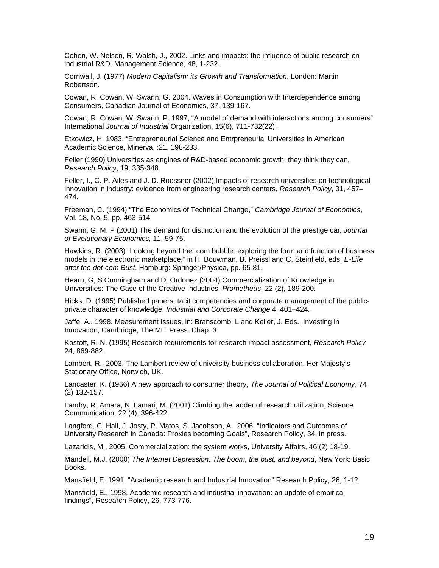Cohen, W. Nelson, R. Walsh, J., 2002. Links and impacts: the influence of public research on industrial R&D. Management Science, 48, 1-232.

Cornwall, J. (1977) *Modern Capitalism: its Growth and Transformation*, London: Martin Robertson.

Cowan, R. Cowan, W. Swann, G. 2004. Waves in Consumption with Interdependence among Consumers, Canadian Journal of Economics, 37, 139-167.

Cowan, R. Cowan, W. Swann, P. 1997, "A model of demand with interactions among consumers" International *Journal of Industrial* Organization, 15(6), 711-732(22).

Etkowicz, H. 1983. "Entrepreneurial Science and Entrpreneurial Universities in American Academic Science, Minerva, :21, 198-233.

Feller (1990) Universities as engines of R&D-based economic growth: they think they can, *Research Policy*, 19, 335-348.

Feller, I., C. P. Ailes and J. D. Roessner (2002) Impacts of research universities on technological innovation in industry: evidence from engineering research centers, *Research Policy*, 31, 457– 474.

Freeman, C. (1994) "The Economics of Technical Change," *Cambridge Journal of Economics*, Vol. 18, No. 5, pp, 463-514.

Swann, G. M. P (2001) The demand for distinction and the evolution of the prestige car*, Journal of Evolutionary Economics,* 11, 59-75.

Hawkins, R. (2003) "Looking beyond the .com bubble: exploring the form and function of business models in the electronic marketplace," in H. Bouwman, B. Preissl and C. Steinfield, eds. *E-Life after the dot-com Bust*. Hamburg: Springer/Physica, pp. 65-81.

Hearn, G, S Cunningham and D. Ordonez (2004) Commercialization of Knowledge in Universities: The Case of the Creative Industries, *Prometheus*, 22 (2), 189-200.

Hicks, D. (1995) Published papers, tacit competencies and corporate management of the publicprivate character of knowledge, *Industrial and Corporate Change* 4, 401–424.

Jaffe, A., 1998. Measurement Issues, in: Branscomb, L and Keller, J. Eds., Investing in Innovation, Cambridge, The MIT Press. Chap. 3.

Kostoff, R. N. (1995) Research requirements for research impact assessment, *Research Policy* 24, 869-882.

Lambert, R., 2003. The Lambert review of university-business collaboration, Her Majesty's Stationary Office, Norwich, UK.

Lancaster, K. (1966) A new approach to consumer theory, *The Journal of Political Economy*, 74 (2) 132-157.

Landry, R. Amara, N. Lamari, M. (2001) Climbing the ladder of research utilization, Science Communication, 22 (4), 396-422.

Langford, C. Hall, J. Josty, P. Matos, S. Jacobson, A. 2006, "Indicators and Outcomes of University Research in Canada: Proxies becoming Goals", Research Policy, 34, in press.

Lazaridis, M., 2005. Commercialization: the system works, University Affairs, 46 (2) 18-19.

Mandell, M.J. (2000) *The Internet Depression: The boom, the bust, and beyond*, New York: Basic Books.

Mansfield, E. 1991. "Academic research and Industrial Innovation" Research Policy, 26, 1-12.

Mansfield, E., 1998. Academic research and industrial innovation: an update of empirical findings", Research Policy, 26, 773-776.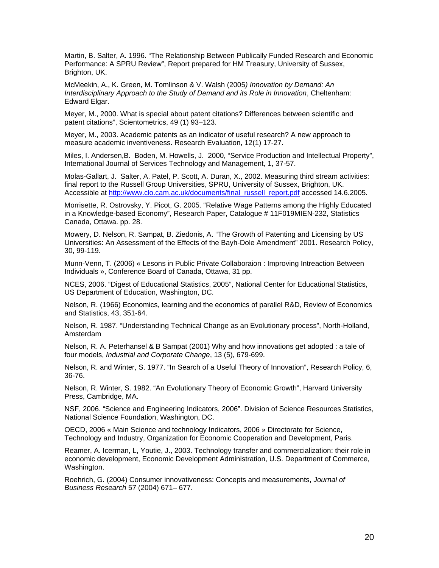Martin, B. Salter, A. 1996. "The Relationship Between Publically Funded Research and Economic Performance: A SPRU Review", Report prepared for HM Treasury, University of Sussex, Brighton, UK.

McMeekin, A., K. Green, M. Tomlinson & V. Walsh (2005*) Innovation by Demand: An Interdisciplinary Approach to the Study of Demand and its Role in Innovation*, Cheltenham: Edward Elgar.

Meyer, M., 2000. What is special about patent citations? Differences between scientific and patent citations", Scientometrics, 49 (1) 93–123.

Meyer, M., 2003. Academic patents as an indicator of useful research? A new approach to measure academic inventiveness. Research Evaluation, 12(1) 17-27.

Miles, I. Andersen,B. Boden, M. Howells, J. 2000, "Service Production and Intellectual Property", International Journal of Services Technology and Management, 1, 37-57.

Molas-Gallart, J. Salter, A. Patel, P. Scott, A. Duran, X., 2002. Measuring third stream activities: final report to the Russell Group Universities, SPRU, University of Sussex, Brighton, UK. Accessible at [http://www.clo.cam.ac.uk/documents/final\\_russell\\_report.pdf](http://www.clo.cam.ac.uk/documents/final_russell_report.pdf) accessed 14.6.2005.

Morrisette, R. Ostrovsky, Y. Picot, G. 2005. "Relative Wage Patterns among the Highly Educated in a Knowledge-based Economy", Research Paper, Catalogue # 11F019MIEN-232, Statistics Canada, Ottawa. pp. 28.

Mowery, D. Nelson, R. Sampat, B. Ziedonis, A. "The Growth of Patenting and Licensing by US Universities: An Assessment of the Effects of the Bayh-Dole Amendment" 2001. Research Policy, 30, 99-119.

Munn-Venn, T. (2006) « Lesons in Public Private Collaboraion : Improving Intreaction Between Individuals », Conference Board of Canada, Ottawa, 31 pp.

NCES, 2006. "Digest of Educational Statistics, 2005", National Center for Educational Statistics, US Department of Education, Washington, DC.

Nelson, R. (1966) Economics, learning and the economics of parallel R&D, Review of Economics and Statistics, 43, 351-64.

Nelson, R. 1987. "Understanding Technical Change as an Evolutionary process", North-Holland, Amsterdam

Nelson, R. A. Peterhansel & B Sampat (2001) Why and how innovations get adopted : a tale of four models, *Industrial and Corporate Change*, 13 (5), 679-699.

Nelson, R. and Winter, S. 1977. "In Search of a Useful Theory of Innovation", Research Policy, 6, 36-76.

Nelson, R. Winter, S. 1982. "An Evolutionary Theory of Economic Growth", Harvard University Press, Cambridge, MA.

NSF, 2006. "Science and Engineering Indicators, 2006". Division of Science Resources Statistics, National Science Foundation, Washington, DC.

OECD, 2006 « Main Science and technology Indicators, 2006 » Directorate for Science, Technology and Industry, Organization for Economic Cooperation and Development, Paris.

Reamer, A. Icerman, L, Youtie, J., 2003. Technology transfer and commercialization: their role in economic development, Economic Development Administration, U.S. Department of Commerce, Washington.

Roehrich, G. (2004) Consumer innovativeness: Concepts and measurements, *Journal of Business Research* 57 (2004) 671– 677.